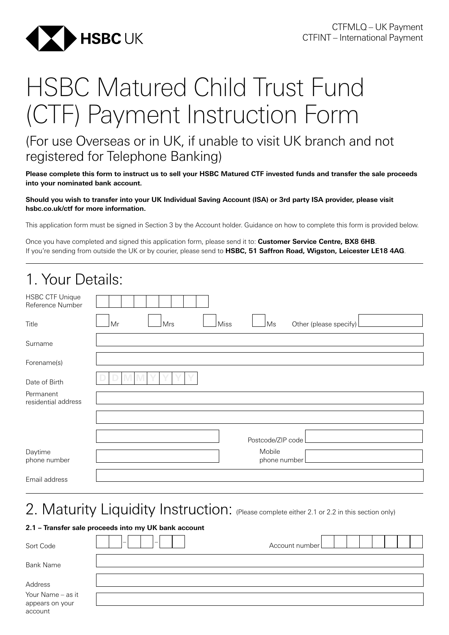

# HSBC Matured Child Trust Fund (CTF) Payment Instruction Form

### (For use Overseas or in UK, if unable to visit UK branch and not registered for Telephone Banking)

**Please complete this form to instruct us to sell your HSBC Matured CTF invested funds and transfer the sale proceeds into your nominated bank account.**

#### **Should you wish to transfer into your UK Individual Saving Account (ISA) or 3rd party ISA provider, please visit [hsbc.co.uk/ctf](http://hsbc.co.uk/ctf) for more information.**

This application form must be signed in Section 3 by the Account holder. Guidance on how to complete this form is provided below.

Once you have completed and signed this application form, please send it to: **Customer Service Centre, BX8 6HB**. If you're sending from outside the UK or by courier, please send to **HSBC, 51 Saffron Road, Wigston, Leicester LE18 4AG**.

| 1. Your Details:                           |                                                   |
|--------------------------------------------|---------------------------------------------------|
| <b>HSBC CTF Unique</b><br>Reference Number |                                                   |
| Title                                      | Mr<br>Other (please specify)<br>Mrs<br>Miss<br>Ms |
| Surname                                    |                                                   |
| Forename(s)                                |                                                   |
| Date of Birth                              |                                                   |
| Permanent<br>residential address           |                                                   |
|                                            |                                                   |
|                                            | Postcode/ZIP code                                 |
| Daytime<br>phone number                    | Mobile<br>phone number                            |
| Email address                              |                                                   |

### 2. Maturity Liquidity Instruction: (Please complete either 2.1 or 2.2 in this section only)

#### **2.1 – Transfer sale proceeds into my UK bank account**

| Sort Code                                       | $\overline{\phantom{0}}$<br>$\overline{\phantom{0}}$ | Account number |
|-------------------------------------------------|------------------------------------------------------|----------------|
| <b>Bank Name</b>                                |                                                      |                |
| Address                                         |                                                      |                |
| Your Name - as it<br>appears on your<br>account |                                                      |                |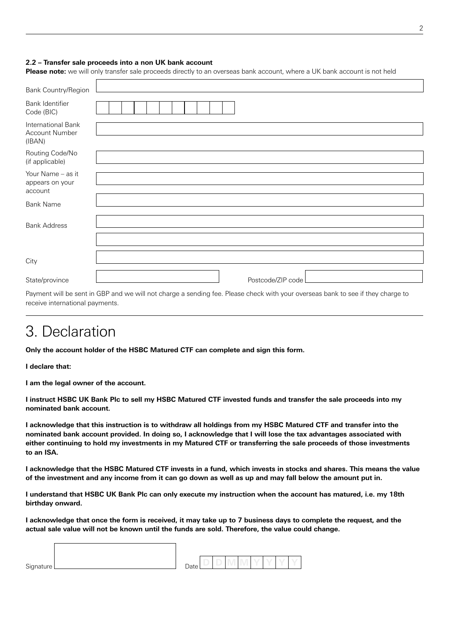#### **2.2 – Transfer sale proceeds into a non UK bank account**

**Please note:** we will only transfer sale proceeds directly to an overseas bank account, where a UK bank account is not held

| Bank Country/Region                             |                   |
|-------------------------------------------------|-------------------|
| Bank Identifier<br>Code (BIC)                   |                   |
| International Bank<br>Account Number<br>(IBAN)  |                   |
| Routing Code/No<br>(if applicable)              |                   |
| Your Name - as it<br>appears on your<br>account |                   |
| <b>Bank Name</b>                                |                   |
| <b>Bank Address</b>                             |                   |
| City                                            |                   |
| State/province                                  | Postcode/ZIP code |

Payment will be sent in GBP and we will not charge a sending fee. Please check with your overseas bank to see if they charge to receive international payments.

### 3. Declaration

**Only the account holder of the HSBC Matured CTF can complete and sign this form.**

**I declare that:**

 $\sqrt{ }$ 

**I am the legal owner of the account.**

**I instruct HSBC UK Bank Plc to sell my HSBC Matured CTF invested funds and transfer the sale proceeds into my nominated bank account.**

**I acknowledge that this instruction is to withdraw all holdings from my HSBC Matured CTF and transfer into the nominated bank account provided. In doing so, I acknowledge that I will lose the tax advantages associated with either continuing to hold my investments in my Matured CTF or transferring the sale proceeds of those investments to an ISA.**

**I acknowledge that the HSBC Matured CTF invests in a fund, which invests in stocks and shares. This means the value of the investment and any income from it can go down as well as up and may fall below the amount put in.**

**I understand that HSBC UK Bank Plc can only execute my instruction when the account has matured, i.e. my 18th birthday onward.** 

**I acknowledge that once the form is received, it may take up to 7 business days to complete the request, and the actual sale value will not be known until the funds are sold. Therefore, the value could change.**

| Signature | $\overline{\phantom{0}}$<br>)ate |  |  |  |  |
|-----------|----------------------------------|--|--|--|--|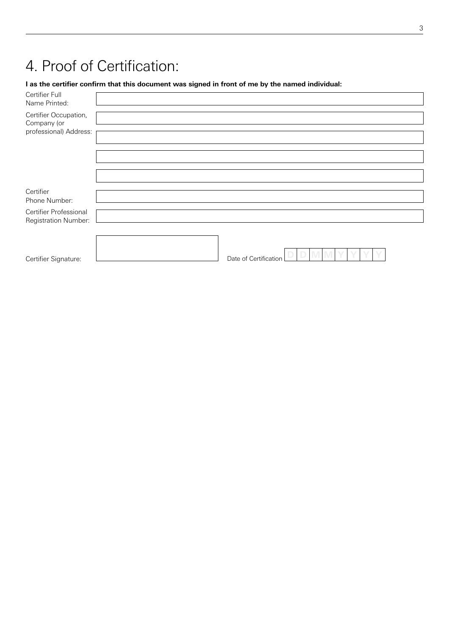# 4. Proof of Certification:

#### **I as the certifier confirm that this document was signed in front of me by the named individual:**

| Certifier Full<br>Name Printed:                                |                       |
|----------------------------------------------------------------|-----------------------|
| Certifier Occupation,<br>Company (or<br>professional) Address: |                       |
|                                                                |                       |
|                                                                |                       |
|                                                                |                       |
| Certifier<br>Phone Number:                                     |                       |
| Certifier Professional<br>Registration Number:                 |                       |
|                                                                |                       |
| Certifier Signature:                                           | Date of Certification |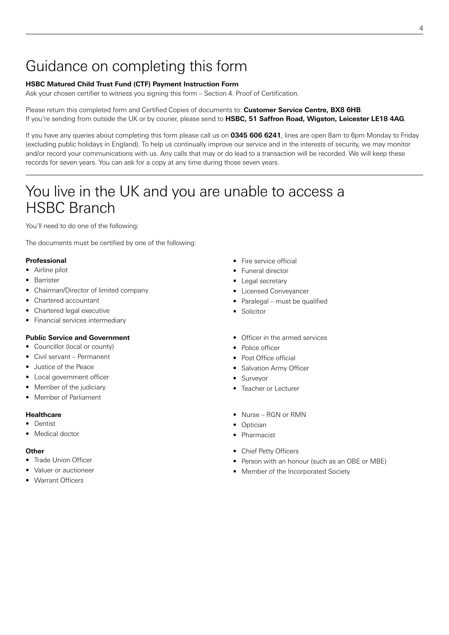# Guidance on completing this form

#### **HSBC Matured Child Trust Fund (CTF) Payment Instruction Form**

Ask your chosen certifier to witness you signing this form – Section 4. Proof of Certification.

Please return this completed form and Certified Copies of documents to: **Customer Service Centre, BX8 6HB**. If you're sending from outside the UK or by courier, please send to **HSBC, 51 Saffron Road, Wigston, Leicester LE18 4AG**.

If you have any queries about completing this form please call us on **0345 606 6241**, lines are open 8am to 6pm Monday to Friday (excluding public holidays in England). To help us continually improve our service and in the interests of security, we may monitor and/or record your communications with us. Any calls that may or do lead to a transaction will be recorded. We will keep these records for seven years. You can ask for a copy at any time during those seven years.

# You live in the UK and you are unable to access a HSBC Branch

You'll need to do one of the following:

The documents must be certified by one of the following:

#### **Professional**

- Airline pilot
- Barrister
- Chairman/Director of limited company
- Chartered accountant
- Chartered legal executive
- Financial services intermediary

#### **Public Service and Government**

- Councillor (local or county)
- Civil servant Permanent
- Justice of the Peace
- Local government officer
- Member of the judiciary
- Member of Parliament

#### **Healthcare**

- Dentist
- Medical doctor

#### **Other**

- Trade Union Officer
- Valuer or auctioneer
- Warrant Officers
- Fire service official
- Funeral director
- Legal secretary
- Licensed Conveyancer
	- Paralegal must be qualified
	- Solicitor
	- Officer in the armed services
	- Police officer
	- Post Office official
	- Salvation Army Officer
	- Surveyor
	- Teacher or Lecturer
	- Nurse RGN or RMN
	- Optician
	- Pharmacist
	- Chief Petty Officers
	- Person with an honour (such as an OBE or MBE)
	- Member of the Incorporated Society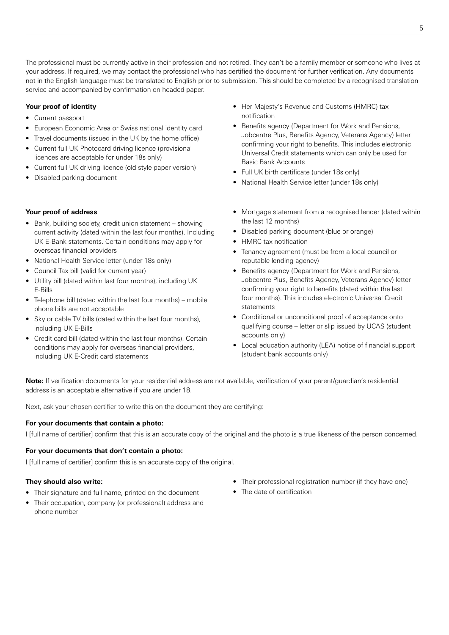The professional must be currently active in their profession and not retired. They can't be a family member or someone who lives at your address. If required, we may contact the professional who has certified the document for further verification. Any documents not in the English language must be translated to English prior to submission. This should be completed by a recognised translation service and accompanied by confirmation on headed paper.

#### **Your proof of identity**

- Current passport
- European Economic Area or Swiss national identity card
- Travel documents (issued in the UK by the home office)
- Current full UK Photocard driving licence (provisional licences are acceptable for under 18s only)
- Current full UK driving licence (old style paper version)
- Disabled parking document

#### **Your proof of address**

- Bank, building society, credit union statement showing current activity (dated within the last four months). Including UK E-Bank statements. Certain conditions may apply for overseas financial providers
- National Health Service letter (under 18s only)
- Council Tax bill (valid for current year)
- Utility bill (dated within last four months), including UK E-Bills
- Telephone bill (dated within the last four months) mobile phone bills are not acceptable
- Sky or cable TV bills (dated within the last four months), including UK E-Bills
- Credit card bill (dated within the last four months). Certain conditions may apply for overseas financial providers, including UK E-Credit card statements
- Her Majesty's Revenue and Customs (HMRC) tax notification
- Benefits agency (Department for Work and Pensions, Jobcentre Plus, Benefits Agency, Veterans Agency) letter confirming your right to benefits. This includes electronic Universal Credit statements which can only be used for Basic Bank Accounts
- Full UK birth certificate (under 18s only)
- National Health Service letter (under 18s only)
- Mortgage statement from a recognised lender (dated within the last 12 months)
- Disabled parking document (blue or orange)
- **HMRC** tax notification
- Tenancy agreement (must be from a local council or reputable lending agency)
- Benefits agency (Department for Work and Pensions, Jobcentre Plus, Benefits Agency, Veterans Agency) letter confirming your right to benefits (dated within the last four months). This includes electronic Universal Credit statements
- Conditional or unconditional proof of acceptance onto qualifying course – letter or slip issued by UCAS (student accounts only)
- Local education authority (LEA) notice of financial support (student bank accounts only)

**Note:** If verification documents for your residential address are not available, verification of your parent/guardian's residential address is an acceptable alternative if you are under 18.

Next, ask your chosen certifier to write this on the document they are certifying:

#### **For your documents that contain a photo:**

I Ifull name of certifier] confirm that this is an accurate copy of the original and the photo is a true likeness of the person concerned.

#### **For your documents that don't contain a photo:**

I *full name of certifier* confirm this is an accurate copy of the original.

#### **They should also write:**

- Their signature and full name, printed on the document
- Their occupation, company (or professional) address and phone number
- Their professional registration number (if they have one)
- The date of certification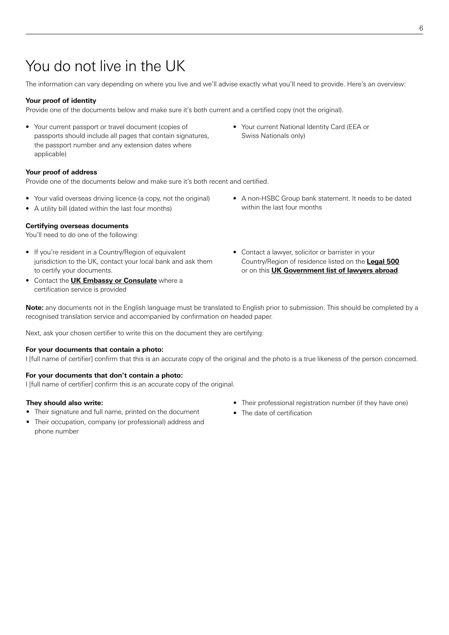# You do not live in the UK

The information can vary depending on where you live and we'll advise exactly what you'll need to provide. Here's an overview:

#### **Your proof of identity**

Provide one of the documents below and make sure it's both current and a certified copy (not the original).

• Your current passport or travel document (copies of passports should include all pages that contain signatures, the passport number and any extension dates where applicable)

#### **Your proof of address**

Provide one of the documents below and make sure it's both recent and certified.

- Your valid overseas driving licence (a copy, not the original)
- A utility bill (dated within the last four months)

#### **Certifying overseas documents**

You'll need to do one of the following:

- If you're resident in a Country/Region of equivalent jurisdiction to the UK, contact your local bank and ask them to certify your documents.
- Contact the **UK Embassy or Consulate** where a certification service is provided
- Your current National Identity Card (EEA or Swiss Nationals only)
- A non-HSBC Group bank statement. It needs to be dated within the last four months
- Contact a lawyer, solicitor or barrister in your Country/Region of residence listed on the **Legal 500** or on this **UK Government list of lawyers abroad**.

**Note:** any documents not in the English language must be translated to English prior to submission. This should be completed by a recognised translation service and accompanied by confirmation on headed paper.

Next, ask your chosen certifier to write this on the document they are certifying:

#### **For your documents that contain a photo:**

I [full name of certifier] confirm that this is an accurate copy of the original and the photo is a true likeness of the person concerned.

#### **For your documents that don't contain a photo:**

I *[full name of certifier]* confirm this is an accurate copy of the original.

#### **They should also write:**

- Their signature and full name, printed on the document
- Their occupation, company (or professional) address and phone number
- Their professional registration number (if they have one)
- The date of certification